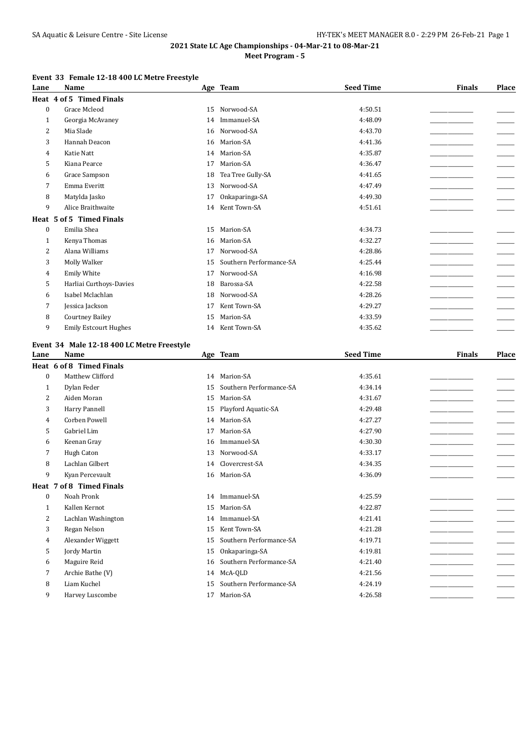## **2021 State LC Age Championships - 04-Mar-21 to 08-Mar-21 Meet Program - 5**

## **Event 33 Female 12-18 400 LC Metre Freestyle**

| Lane             | Name                                               |          | Age Team                                | <b>Seed Time</b>   | <b>Finals</b> | Place                    |
|------------------|----------------------------------------------------|----------|-----------------------------------------|--------------------|---------------|--------------------------|
|                  | Heat 4 of 5 Timed Finals                           |          |                                         |                    |               |                          |
| $\boldsymbol{0}$ | Grace Mcleod                                       | 15       | Norwood-SA                              | 4:50.51            |               |                          |
| $\mathbf{1}$     | Georgia McAvaney                                   | 14       | Immanuel-SA                             | 4:48.09            |               |                          |
| 2                | Mia Slade                                          | 16       | Norwood-SA                              | 4:43.70            |               |                          |
| 3                | Hannah Deacon                                      | 16       | Marion-SA                               | 4:41.36            |               |                          |
| 4                | Katie Natt                                         | 14       | Marion-SA                               | 4:35.87            |               |                          |
| 5                | Kiana Pearce                                       | 17       | Marion-SA                               | 4:36.47            |               | $\overline{\phantom{a}}$ |
| 6                | Grace Sampson                                      | 18       | Tea Tree Gully-SA                       | 4:41.65            |               |                          |
| 7                | Emma Everitt                                       | 13       | Norwood-SA                              | 4:47.49            |               | $\overline{\phantom{a}}$ |
| 8                | Matylda Jasko                                      | 17       | Onkaparinga-SA                          | 4:49.30            |               |                          |
| 9                | Alice Braithwaite                                  | 14       | Kent Town-SA                            | 4:51.61            |               |                          |
|                  | Heat 5 of 5 Timed Finals                           |          |                                         |                    |               |                          |
| $\mathbf{0}$     | Emilia Shea                                        | 15       | Marion-SA                               | 4:34.73            |               |                          |
| 1                | Kenya Thomas                                       | 16       | Marion-SA                               | 4:32.27            |               |                          |
| 2                | Alana Williams                                     | 17       | Norwood-SA                              | 4:28.86            |               | $\overline{\phantom{a}}$ |
| 3                | Molly Walker                                       | 15       | Southern Performance-SA                 | 4:25.44            |               |                          |
| 4                | Emily White                                        | 17       | Norwood-SA                              | 4:16.98            |               | _____                    |
| 5                | Harliai Curthoys-Davies                            | 18       | Barossa-SA                              | 4:22.58            |               |                          |
| 6                | Isabel Mclachlan                                   | 18       | Norwood-SA                              | 4:28.26            |               |                          |
| 7                | Jessica Jackson                                    | 17       | Kent Town-SA                            | 4:29.27            |               |                          |
| 8                | <b>Courtney Bailey</b>                             | 15       | Marion-SA                               | 4:33.59            |               |                          |
| 9                | <b>Emily Estcourt Hughes</b>                       |          | 14 Kent Town-SA                         | 4:35.62            |               |                          |
|                  |                                                    |          |                                         |                    |               |                          |
|                  | Event 34 Male 12-18 400 LC Metre Freestyle<br>Name |          | Age Team                                | <b>Seed Time</b>   | <b>Finals</b> | <b>Place</b>             |
| Lane             | Heat 6 of 8 Timed Finals                           |          |                                         |                    |               |                          |
| $\boldsymbol{0}$ | Matthew Clifford                                   |          | 14 Marion-SA                            | 4:35.61            |               |                          |
| $\mathbf{1}$     | Dylan Feder                                        | 15       | Southern Performance-SA                 | 4:34.14            |               |                          |
| 2                | Aiden Moran                                        | 15       | Marion-SA                               | 4:31.67            |               |                          |
| 3                | Harry Pannell                                      |          | Playford Aquatic-SA                     | 4:29.48            |               |                          |
| 4                | Corben Powell                                      | 15<br>14 | Marion-SA                               | 4:27.27            |               |                          |
|                  | Gabriel Lim                                        |          | Marion-SA                               | 4:27.90            |               |                          |
| 5                |                                                    | 17       | Immanuel-SA                             | 4:30.30            |               |                          |
| 6<br>7           | Keenan Gray<br>Hugh Caton                          | 16<br>13 | Norwood-SA                              | 4:33.17            |               |                          |
|                  | Lachlan Gilbert                                    |          | Clovercrest-SA                          |                    |               |                          |
| 8<br>9           |                                                    | 14       | Marion-SA                               | 4:34.35            |               |                          |
|                  | Kyan Percevault                                    | 16       |                                         | 4:36.09            |               |                          |
|                  | Heat 7 of 8 Timed Finals                           |          |                                         |                    |               |                          |
| $\bf{0}$         | Noah Pronk                                         |          | 14 Immanuel-SA                          | 4:25.59            |               |                          |
| $\mathbf{1}$     | Kallen Kernot                                      | 15       | Marion-SA                               | 4:22.87            |               |                          |
| 2                | Lachlan Washington                                 | 14       | Immanuel-SA                             | 4:21.41            |               |                          |
| 3                | Regan Nelson                                       | 15       | Kent Town-SA                            | 4:21.28            |               |                          |
| 4                | Alexander Wiggett                                  | 15       | Southern Performance-SA                 | 4:19.71            |               |                          |
| 5                | Jordy Martin                                       | 15       | Onkaparinga-SA                          | 4:19.81            |               |                          |
| 6                |                                                    |          |                                         |                    |               |                          |
|                  | Maguire Reid                                       | 16       | Southern Performance-SA                 | 4:21.40            |               |                          |
| 7                | Archie Bathe (V)                                   |          | 14 McA-OLD                              | 4:21.56            |               |                          |
| 8<br>9           | Liam Kuchel<br>Harvey Luscombe                     | 15       | Southern Performance-SA<br>17 Marion-SA | 4:24.19<br>4:26.58 |               |                          |